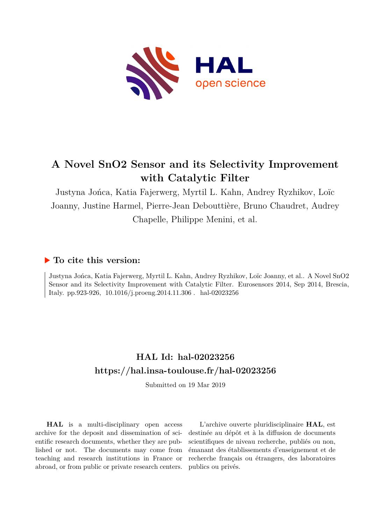

# **A Novel SnO2 Sensor and its Selectivity Improvement with Catalytic Filter**

Justyna Jońca, Katia Fajerwerg, Myrtil L. Kahn, Andrey Ryzhikov, Loïc Joanny, Justine Harmel, Pierre-Jean Debouttière, Bruno Chaudret, Audrey Chapelle, Philippe Menini, et al.

### **To cite this version:**

Justyna Jońca, Katia Fajerwerg, Myrtil L. Kahn, Andrey Ryzhikov, Loïc Joanny, et al.. A Novel SnO2 Sensor and its Selectivity Improvement with Catalytic Filter. Eurosensors 2014, Sep 2014, Brescia, Italy. pp.923-926,  $10.1016/j.proeng.2014.11.306$ . hal-02023256

## **HAL Id: hal-02023256 <https://hal.insa-toulouse.fr/hal-02023256>**

Submitted on 19 Mar 2019

**HAL** is a multi-disciplinary open access archive for the deposit and dissemination of scientific research documents, whether they are published or not. The documents may come from teaching and research institutions in France or abroad, or from public or private research centers.

L'archive ouverte pluridisciplinaire **HAL**, est destinée au dépôt et à la diffusion de documents scientifiques de niveau recherche, publiés ou non, émanant des établissements d'enseignement et de recherche français ou étrangers, des laboratoires publics ou privés.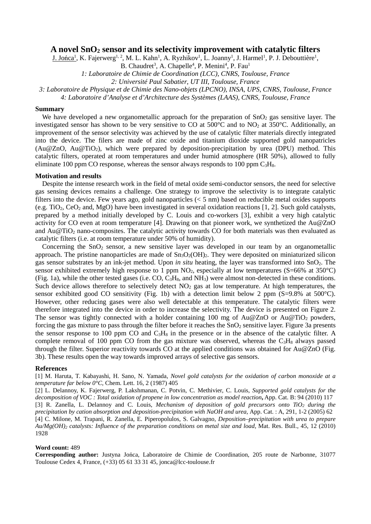### **A novel SnO2 sensor and its selectivity improvement with catalytic filters**

J. Jońca<sup>1</sup>, K. Fajerwerg<sup>1, 2</sup>, M. L. Kahn<sup>1</sup>, A. Ryzhikov<sup>1</sup>, L. Joanny<sup>1</sup>, J. Harmel<sup>1</sup>, P. J. Debouttière<sup>1</sup>,

B. Chaudret<sup>3</sup>, A. Chapelle<sup>4</sup>, P. Menini<sup>4</sup>, P. Fau<sup>1</sup>

*1: Laboratoire de Chimie de Coordination (LCC), CNRS, Toulouse, France* 

*2: Université Paul Sabatier, UT III, Toulouse, France* 

*3: Laboratoire de Physique et de Chimie des Nano-objets (LPCNO), INSA, UPS, CNRS, Toulouse, France* 

*4: Laboratoire d'Analyse et d'Architecture des Systèmes (LAAS), CNRS, Toulouse, France* 

#### **Summary**

We have developed a new organometallic approach for the preparation of  $SnO<sub>2</sub>$  gas sensitive layer. The investigated sensor has shown to be very sensitive to CO at  $500^{\circ}$ C and to NO<sub>2</sub> at  $350^{\circ}$ C. Additionally, an improvement of the sensor selectivity was achieved by the use of catalytic filter materials directly integrated into the device. The filers are made of zinc oxide and titanium dioxide supported gold nanopatricles (Au@ZnO, Au@TiO<sub>2</sub>), which were prepared by deposition-precipitation by urea (DPU) method. This catalytic filters, operated at room temperatures and under humid atmosphere (HR 50%), allowed to fully eliminate 100 ppm CO response, whereas the sensor always responds to 100 ppm  $C_3H_8$ .

#### **Motivation and results**

Despite the intense research work in the field of metal oxide semi-conductor sensors, the need for selective gas sensing devices remains a challenge. One strategy to improve the selectivity is to integrate catalytic filters into the device. Few years ago, gold nanoparticles (< 5 nm) based on reducible metal oxides supports (e.g. TiO<sub>2</sub>, CeO<sub>2</sub> and, MgO) have been investigated in several oxidation reactions [1, 2]. Such gold catalysts, prepared by a method initially developed by C. Louis and co-workers [3], exhibit a very high catalytic activity for CO even at room temperature [4]. Drawing on that pioneer work, we synthetized the Au@ZnO and  $Au@TiO<sub>2</sub>$  nano-composites. The catalytic activity towards CO for both materials was then evaluated as catalytic filters (i.e. at room temperature under 50% of humidity).

Concerning the  $SnO<sub>2</sub>$  sensor, a new sensitive layer was developed in our team by an organometallic approach. The pristine nanoparticles are made of  $\text{Sn}_3\text{O}_2(\text{OH})_2$ . They were deposited on miniaturized silicon gas sensor substrates by an ink-jet method. Upon *in situ* heating, the layer was transformed into SnO2. The sensor exhibited extremely high response to 1 ppm NO<sub>2</sub>, especially at low temperatures (S=66% at 350°C) (Fig. 1a), while the other tested gases (i.e. CO,  $C_3H_8$ , and NH<sub>3</sub>) were almost non-detected in these conditions. Such device allows therefore to selectively detect  $NO<sub>2</sub>$  gas at low temperature. At high temperatures, the sensor exhibited good CO sensitivity (Fig. 1b) with a detection limit below 2 ppm (S=9.8% at 500°C). However, other reducing gases were also well detectable at this temperature. The catalytic filters were therefore integrated into the device in order to increase the selectivity. The device is presented on Figure 2. The sensor was tightly connected with a holder containing 100 mg of  $Au@ZnO$  or  $Au@TiO<sub>2</sub>$  powders, forcing the gas mixture to pass through the filter before it reaches the  $SnO<sub>2</sub>$  sensitive layer. Figure 3a presents the sensor response to 100 ppm CO and  $C_3H_8$  in the presence or in the absence of the catalytic filter. A complete removal of 100 ppm CO from the gas mixture was observed, whereas the  $C_3H_8$  always passed through the filter. Superior reactivity towards CO at the applied conditions was obtained for Au@ZnO (Fig. 3b). These results open the way towards improved arrays of selective gas sensors.

#### **References**

[1] M. Haruta, T. Kabayashi, H. Sano, N. Yamada, *Novel gold catalysts for the oxidation of carbon monoxide at a temperature far below 0°C,* Chem. Lett. 16, 2 (1987) 405

[2] L. Delannoy, K. Fajerwerg, P. Lakshmanan, C. Potvin, C. Methivier, C. Louis, *Supported gold catalysts for the decomposition of VOC : Total oxidation of propene in low concentration as model reaction***,** App. Cat. B: 94 (2010) 117 [3] R. Zanella, L. Delannoy and C. Louis, *Mechanism of deposition of gold precursors onto TiO2 during the precipitation by cation absorption and deposition-precipitation with NaOH and urea, App. Cat. : A, 291, 1-2 (2005) 62* [4] C. Milone, M. Trapani, R. Zanella, E. Piperopolulos, S. Galvagno, *Deposition–precipitation with urea to prepare Au/Mg(OH)2 catalysts: Influence of the preparation conditions on metal size and load*, Mat. Res. Bull., 45, 12 (2010) 1928

#### **Word count:** 489

**Corresponding author:** Justyna Jońca, Laboratoire de Chimie de Coordination, 205 route de Narbonne, 31077 Toulouse Cedex 4, France, (+33) 05 61 33 31 45, jonca@lcc-toulouse.fr